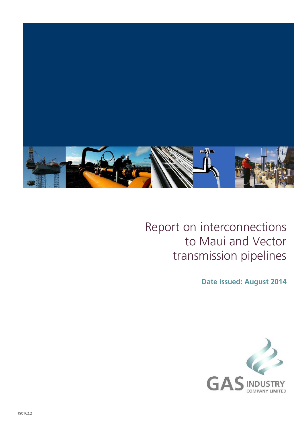

### Report on interconnections to Maui and Vector transmission pipelines

**Date issued: August 2014**

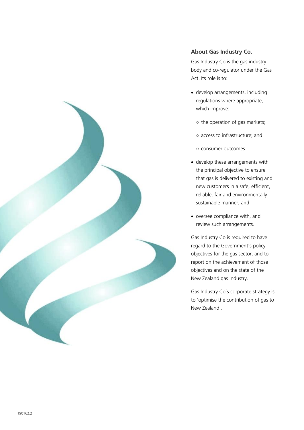

#### **About Gas Industry Co.**

Gas Industry Co is the gas industry body and co-regulator under the Gas Act. Its role is to:

- develop arrangements, including regulations where appropriate, which improve:
	- the operation of gas markets;
	- access to infrastructure; and
	- consumer outcomes.
- develop these arrangements with the principal objective to ensure that gas is delivered to existing and new customers in a safe, efficient, reliable, fair and environmentally sustainable manner; and
- oversee compliance with, and review such arrangements.

Gas Industry Co is required to have regard to the Government's policy objectives for the gas sector, and to report on the achievement of those objectives and on the state of the New Zealand gas industry.

Gas Industry Co's corporate strategy is to 'optimise the contribution of gas to New Zealand'.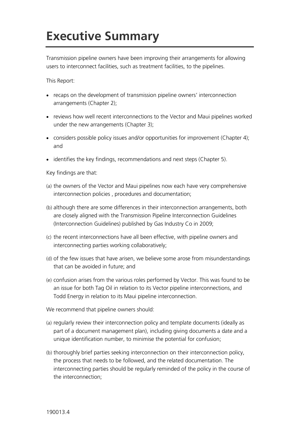## **Executive Summary**

Transmission pipeline owners have been improving their arrangements for allowing users to interconnect facilities, such as treatment facilities, to the pipelines.

This Report:

- recaps on the development of transmission pipeline owners' interconnection arrangements (Chapter 2);
- reviews how well recent interconnections to the Vector and Maui pipelines worked under the new arrangements (Chapter 3);
- considers possible policy issues and/or opportunities for improvement (Chapter 4); and
- identifies the key findings, recommendations and next steps (Chapter 5).

Key findings are that:

- (a) the owners of the Vector and Maui pipelines now each have very comprehensive interconnection policies , procedures and documentation;
- (b) although there are some differences in their interconnection arrangements, both are closely aligned with the Transmission Pipeline Interconnection Guidelines (Interconnection Guidelines) published by Gas Industry Co in 2009;
- (c) the recent interconnections have all been effective, with pipeline owners and interconnecting parties working collaboratively;
- (d) of the few issues that have arisen, we believe some arose from misunderstandings that can be avoided in future; and
- (e) confusion arises from the various roles performed by Vector. This was found to be an issue for both Tag Oil in relation to its Vector pipeline interconnections, and Todd Energy in relation to its Maui pipeline interconnection.

We recommend that pipeline owners should:

- (a) regularly review their interconnection policy and template documents (ideally as part of a document management plan), including giving documents a date and a unique identification number, to minimise the potential for confusion;
- (b) thoroughly brief parties seeking interconnection on their interconnection policy, the process that needs to be followed, and the related documentation. The interconnecting parties should be regularly reminded of the policy in the course of the interconnection;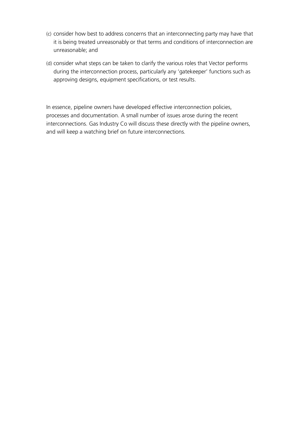- (c) consider how best to address concerns that an interconnecting party may have that it is being treated unreasonably or that terms and conditions of interconnection are unreasonable; and
- (d) consider what steps can be taken to clarify the various roles that Vector performs during the interconnection process, particularly any 'gatekeeper' functions such as approving designs, equipment specifications, or test results.

In essence, pipeline owners have developed effective interconnection policies, processes and documentation. A small number of issues arose during the recent interconnections. Gas Industry Co will discuss these directly with the pipeline owners, and will keep a watching brief on future interconnections.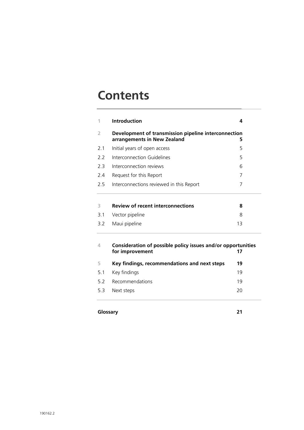### **Contents**

|                | Introduction                                                                             | 4 |  |
|----------------|------------------------------------------------------------------------------------------|---|--|
| $\overline{2}$ | Development of transmission pipeline interconnection<br>arrangements in New Zealand<br>5 |   |  |
| 2.1            | Initial years of open access                                                             | 5 |  |
| 2.2            | Interconnection Guidelines                                                               | 5 |  |
| 2.3            | Interconnection reviews                                                                  | 6 |  |
| 2.4            | Request for this Report                                                                  |   |  |
| 2.5            | Interconnections reviewed in this Report                                                 | 7 |  |
|                |                                                                                          |   |  |
| з              | <b>Review of recent interconnections</b>                                                 | 8 |  |
| 21             | <i>Moctor</i> pinolino                                                                   | Ω |  |

| 3.1 Vector pipeline |  |
|---------------------|--|
| 3.2 Maui pipeline   |  |
|                     |  |

#### **4 Consideration of possible policy issues and/or opportunities for improvement 17**

| Key findings, recommendations and next steps | 19 |
|----------------------------------------------|----|
| 5.1 Key findings                             | 19 |
| 5.2 Recommendations                          | 19 |
| 5.3 Next steps                               | 20 |
|                                              |    |

#### **Glossary 21**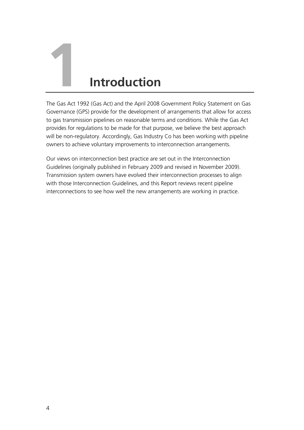## **1 Introduction**

The Gas Act 1992 (Gas Act) and the April 2008 Government Policy Statement on Gas Governance (GPS) provide for the development of arrangements that allow for access to gas transmission pipelines on reasonable terms and conditions. While the Gas Act provides for regulations to be made for that purpose, we believe the best approach will be non-regulatory. Accordingly, Gas Industry Co has been working with pipeline owners to achieve voluntary improvements to interconnection arrangements.

Our views on interconnection best practice are set out in the Interconnection Guidelines (originally published in February 2009 and revised in November 2009). Transmission system owners have evolved their interconnection processes to align with those Interconnection Guidelines, and this Report reviews recent pipeline interconnections to see how well the new arrangements are working in practice.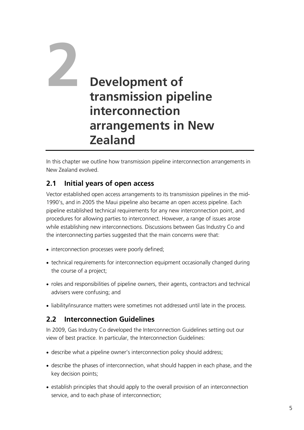# **2 Development of transmission pipeline interconnection arrangements in New Zealand**

In this chapter we outline how transmission pipeline interconnection arrangements in New Zealand evolved.

#### **2.1 Initial years of open access**

Vector established open access arrangements to its transmission pipelines in the mid-1990's, and in 2005 the Maui pipeline also became an open access pipeline. Each pipeline established technical requirements for any new interconnection point, and procedures for allowing parties to interconnect. However, a range of issues arose while establishing new interconnections. Discussions between Gas Industry Co and the interconnecting parties suggested that the main concerns were that:

- interconnection processes were poorly defined;
- technical requirements for interconnection equipment occasionally changed during the course of a project;
- roles and responsibilities of pipeline owners, their agents, contractors and technical advisers were confusing; and
- liability/insurance matters were sometimes not addressed until late in the process.

#### **2.2 Interconnection Guidelines**

In 2009, Gas Industry Co developed the Interconnection Guidelines setting out our view of best practice. In particular, the Interconnection Guidelines:

- describe what a pipeline owner's interconnection policy should address;
- describe the phases of interconnection, what should happen in each phase, and the key decision points;
- establish principles that should apply to the overall provision of an interconnection service, and to each phase of interconnection;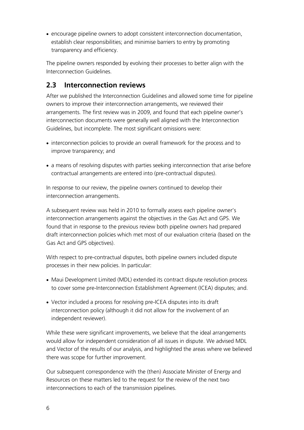encourage pipeline owners to adopt consistent interconnection documentation, establish clear responsibilities; and minimise barriers to entry by promoting transparency and efficiency.

The pipeline owners responded by evolving their processes to better align with the Interconnection Guidelines.

#### **2.3 Interconnection reviews**

After we published the Interconnection Guidelines and allowed some time for pipeline owners to improve their interconnection arrangements, we reviewed their arrangements. The first review was in 2009, and found that each pipeline owner's interconnection documents were generally well aligned with the Interconnection Guidelines, but incomplete. The most significant omissions were:

- interconnection policies to provide an overall framework for the process and to improve transparency; and
- a means of resolving disputes with parties seeking interconnection that arise before contractual arrangements are entered into (pre-contractual disputes).

In response to our review, the pipeline owners continued to develop their interconnection arrangements.

A subsequent review was held in 2010 to formally assess each pipeline owner's interconnection arrangements against the objectives in the Gas Act and GPS. We found that in response to the previous review both pipeline owners had prepared draft interconnection policies which met most of our evaluation criteria (based on the Gas Act and GPS objectives).

With respect to pre-contractual disputes, both pipeline owners included dispute processes in their new policies. In particular:

- Maui Development Limited (MDL) extended its contract dispute resolution process to cover some pre-Interconnection Establishment Agreement (ICEA) disputes; and.
- Vector included a process for resolving pre-ICEA disputes into its draft interconnection policy (although it did not allow for the involvement of an independent reviewer).

While these were significant improvements, we believe that the ideal arrangements would allow for independent consideration of all issues in dispute. We advised MDL and Vector of the results of our analysis, and highlighted the areas where we believed there was scope for further improvement.

Our subsequent correspondence with the (then) Associate Minister of Energy and Resources on these matters led to the request for the review of the next two interconnections to each of the transmission pipelines.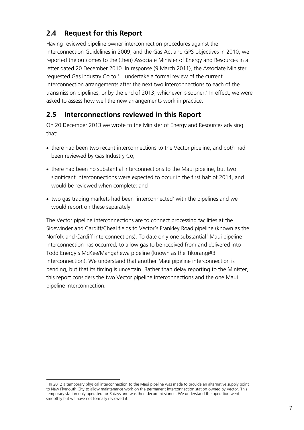#### **2.4 Request for this Report**

Having reviewed pipeline owner interconnection procedures against the Interconnection Guidelines in 2009, and the Gas Act and GPS objectives in 2010, we reported the outcomes to the (then) Associate Minister of Energy and Resources in a letter dated 20 December 2010. In response (9 March 2011), the Associate Minister requested Gas Industry Co to '…undertake a formal review of the current interconnection arrangements after the next two interconnections to each of the transmission pipelines, or by the end of 2013, whichever is sooner.' In effect, we were asked to assess how well the new arrangements work in practice.

#### **2.5 Interconnections reviewed in this Report**

On 20 December 2013 we wrote to the Minister of Energy and Resources advising that:

- there had been two recent interconnections to the Vector pipeline, and both had been reviewed by Gas Industry Co;
- there had been no substantial interconnections to the Maui pipeline, but two significant interconnections were expected to occur in the first half of 2014, and would be reviewed when complete; and
- two gas trading markets had been 'interconnected' with the pipelines and we would report on these separately.

The Vector pipeline interconnections are to connect processing facilities at the Sidewinder and Cardiff/Cheal fields to Vector's Frankley Road pipeline (known as the Norfolk and Cardiff interconnections). To date only one substantial<sup>1</sup> Maui pipeline interconnection has occurred; to allow gas to be received from and delivered into Todd Energy's McKee/Mangahewa pipeline (known as the Tikorangi#3 interconnection). We understand that another Maui pipeline interconnection is pending, but that its timing is uncertain. Rather than delay reporting to the Minister, this report considers the two Vector pipeline interconnections and the one Maui pipeline interconnection.

<sup>1</sup> <sup>1</sup> In 2012 a temporary physical interconnection to the Maui pipeline was made to provide an alternative supply point to New Plymouth City to allow maintenance work on the permanent interconnection station owned by Vector. This temporary station only operated for 3 days and was then decommissioned. We understand the operation went smoothly but we have not formally reviewed it.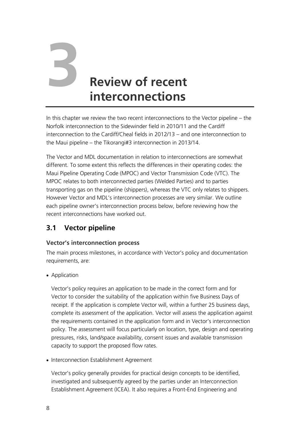# **3 Review of recent interconnections**

In this chapter we review the two recent interconnections to the Vector pipeline – the Norfolk interconnection to the Sidewinder field in 2010/11 and the Cardiff interconnection to the Cardiff/Cheal fields in 2012/13 – and one interconnection to the Maui pipeline – the Tikorangi#3 interconnection in 2013/14.

The Vector and MDL documentation in relation to interconnections are somewhat different. To some extent this reflects the differences in their operating codes: the Maui Pipeline Operating Code (MPOC) and Vector Transmission Code (VTC). The MPOC relates to both interconnected parties (Welded Parties) and to parties transporting gas on the pipeline (shippers), whereas the VTC only relates to shippers. However Vector and MDL's interconnection processes are very similar. We outline each pipeline owner's interconnection process below, before reviewing how the recent interconnections have worked out.

#### **3.1 Vector pipeline**

#### **Vector's interconnection process**

The main process milestones, in accordance with Vector's policy and documentation requirements, are:

• Application

Vector's policy requires an application to be made in the correct form and for Vector to consider the suitability of the application within five Business Days of receipt. If the application is complete Vector will, within a further 25 business days, complete its assessment of the application. Vector will assess the application against the requirements contained in the application form and in Vector's interconnection policy. The assessment will focus particularly on location, type, design and operating pressures, risks, land/space availability, consent issues and available transmission capacity to support the proposed flow rates.

• Interconnection Establishment Agreement

Vector's policy generally provides for practical design concepts to be identified, investigated and subsequently agreed by the parties under an Interconnection Establishment Agreement (ICEA). It also requires a Front-End Engineering and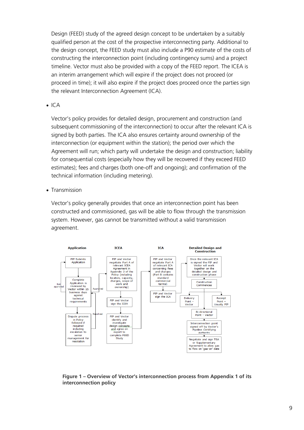Design (FEED) study of the agreed design concept to be undertaken by a suitably qualified person at the cost of the prospective interconnecting party. Additional to the design concept, the FEED study must also include a P90 estimate of the costs of constructing the interconnection point (including contingency sums) and a project timeline. Vector must also be provided with a copy of the FEED report. The ICEA is an interim arrangement which will expire if the project does not proceed (or proceed in time); it will also expire if the project does proceed once the parties sign the relevant Interconnection Agreement (ICA).

 $\bullet$  ICA

Vector's policy provides for detailed design, procurement and construction (and subsequent commissioning of the interconnection) to occur after the relevant ICA is signed by both parties. The ICA also ensures certainty around ownership of the interconnection (or equipment within the station); the period over which the Agreement will run; which party will undertake the design and construction; liability for consequential costs (especially how they will be recovered if they exceed FEED estimates); fees and charges (both one-off and ongoing); and confirmation of the technical information (including metering).

• Transmission

Vector's policy generally provides that once an interconnection point has been constructed and commissioned, gas will be able to flow through the transmission system. However, gas cannot be transmitted without a valid transmission agreement.



#### <span id="page-12-0"></span>**Figure 1 – Overview of Vector's interconnection process from Appendix 1 of its interconnection policy**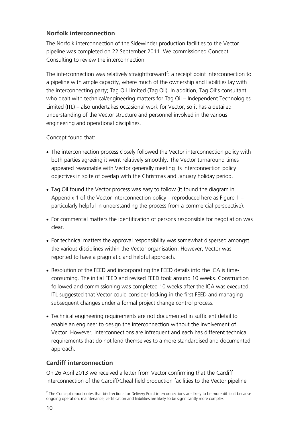#### **Norfolk interconnection**

The Norfolk interconnection of the Sidewinder production facilities to the Vector pipeline was completed on 22 September 2011. We commissioned Concept Consulting to review the interconnection.

The interconnection was relatively straightforward<sup>2</sup>: a receipt point interconnection to a pipeline with ample capacity, where much of the ownership and liabilities lay with the interconnecting party; Tag Oil Limited (Tag Oil). In addition, Tag Oil's consultant who dealt with technical/engineering matters for Tag Oil – Independent Technologies Limited (ITL) – also undertakes occasional work for Vector, so it has a detailed understanding of the Vector structure and personnel involved in the various engineering and operational disciplines.

#### Concept found that:

- The interconnection process closely followed the Vector interconnection policy with both parties agreeing it went relatively smoothly. The Vector turnaround times appeared reasonable with Vector generally meeting its interconnection policy objectives in spite of overlap with the Christmas and January holiday period.
- Tag Oil found the Vector process was easy to follow (it found the diagram in Appendix 1 of the Vector interconnection policy – reproduced here as [Figure 1](#page-12-0) – particularly helpful in understanding the process from a commercial perspective).
- For commercial matters the identification of persons responsible for negotiation was clear.
- For technical matters the approval responsibility was somewhat dispersed amongst the various disciplines within the Vector organisation. However, Vector was reported to have a pragmatic and helpful approach.
- Resolution of the FEED and incorporating the FEED details into the ICA is timeconsuming. The initial FEED and revised FEED took around 10 weeks. Construction followed and commissioning was completed 10 weeks after the ICA was executed. ITL suggested that Vector could consider locking-in the first FEED and managing subsequent changes under a formal project change control process.
- Technical engineering requirements are not documented in sufficient detail to enable an engineer to design the interconnection without the involvement of Vector. However, interconnections are infrequent and each has different technical requirements that do not lend themselves to a more standardised and documented approach.

#### **Cardiff interconnection**

On 26 April 2013 we received a letter from Vector confirming that the Cardiff interconnection of the Cardiff/Cheal field production facilities to the Vector pipeline

 2 The Concept report notes that bi-directional or Delivery Point interconnections are likely to be more difficult because ongoing operation, maintenance, certification and liabilities are likely to be significantly more complex.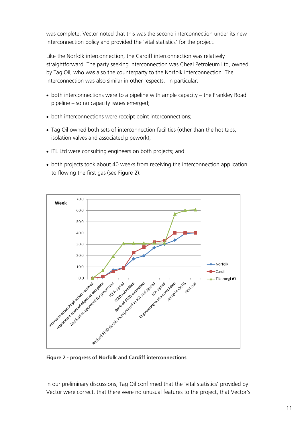was complete. Vector noted that this was the second interconnection under its new interconnection policy and provided the 'vital statistics' for the project.

Like the Norfolk interconnection, the Cardiff interconnection was relatively straightforward. The party seeking interconnection was Cheal Petroleum Ltd, owned by Tag Oil, who was also the counterparty to the Norfolk interconnection. The interconnection was also similar in other respects. In particular:

- both interconnections were to a pipeline with ample capacity the Frankley Road pipeline – so no capacity issues emerged;
- both interconnections were receipt point interconnections;
- Tag Oil owned both sets of interconnection facilities (other than the hot taps, isolation valves and associated pipework);
- ITL Ltd were consulting engineers on both projects; and
- both projects took about 40 weeks from receiving the interconnection application to flowing the first gas (see [Figure 2\)](#page-14-0).



<span id="page-14-0"></span>**Figure 2 - progress of Norfolk and Cardiff interconnections**

In our preliminary discussions, Tag Oil confirmed that the 'vital statistics' provided by Vector were correct, that there were no unusual features to the project, that Vector's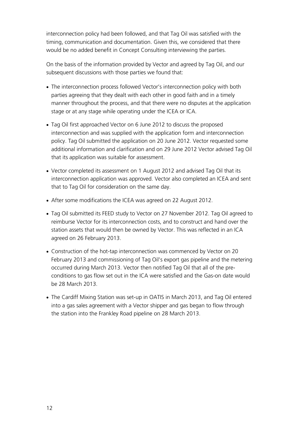interconnection policy had been followed, and that Tag Oil was satisfied with the timing, communication and documentation. Given this, we considered that there would be no added benefit in Concept Consulting interviewing the parties.

On the basis of the information provided by Vector and agreed by Tag Oil, and our subsequent discussions with those parties we found that:

- The interconnection process followed Vector's interconnection policy with both parties agreeing that they dealt with each other in good faith and in a timely manner throughout the process, and that there were no disputes at the application stage or at any stage while operating under the ICEA or ICA.
- Tag Oil first approached Vector on 6 June 2012 to discuss the proposed interconnection and was supplied with the application form and interconnection policy. Tag Oil submitted the application on 20 June 2012. Vector requested some additional information and clarification and on 29 June 2012 Vector advised Tag Oil that its application was suitable for assessment.
- Vector completed its assessment on 1 August 2012 and advised Tag Oil that its interconnection application was approved. Vector also completed an ICEA and sent that to Tag Oil for consideration on the same day.
- After some modifications the ICEA was agreed on 22 August 2012.
- Tag Oil submitted its FEED study to Vector on 27 November 2012. Tag Oil agreed to reimburse Vector for its interconnection costs, and to construct and hand over the station assets that would then be owned by Vector. This was reflected in an ICA agreed on 26 February 2013.
- Construction of the hot-tap interconnection was commenced by Vector on 20 February 2013 and commissioning of Tag Oil's export gas pipeline and the metering occurred during March 2013. Vector then notified Tag Oil that all of the preconditions to gas flow set out in the ICA were satisfied and the Gas-on date would be 28 March 2013.
- The Cardiff Mixing Station was set-up in OATIS in March 2013, and Tag Oil entered into a gas sales agreement with a Vector shipper and gas began to flow through the station into the Frankley Road pipeline on 28 March 2013.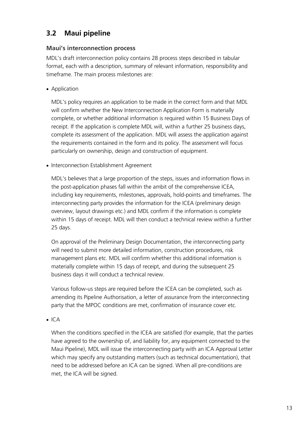#### **3.2 Maui pipeline**

#### **Maui's interconnection process**

MDL's draft interconnection policy contains 28 process steps described in tabular format, each with a description, summary of relevant information, responsibility and timeframe. The main process milestones are:

• Application

MDL's policy requires an application to be made in the correct form and that MDL will confirm whether the New Interconnection Application Form is materially complete, or whether additional information is required within 15 Business Days of receipt. If the application is complete MDL will, within a further 25 business days, complete its assessment of the application. MDL will assess the application against the requirements contained in the form and its policy. The assessment will focus particularly on ownership, design and construction of equipment.

• Interconnection Establishment Agreement

MDL's believes that a large proportion of the steps, issues and information flows in the post-application phases fall within the ambit of the comprehensive ICEA, including key requirements, milestones, approvals, hold-points and timeframes. The interconnecting party provides the information for the ICEA (preliminary design overview, layout drawings etc.) and MDL confirm if the information is complete within 15 days of receipt. MDL will then conduct a technical review within a further 25 days.

On approval of the Preliminary Design Documentation, the interconnecting party will need to submit more detailed information, construction procedures, risk management plans etc. MDL will confirm whether this additional information is materially complete within 15 days of receipt, and during the subsequent 25 business days it will conduct a technical review.

Various follow-us steps are required before the ICEA can be completed, such as amending its Pipeline Authorisation, a letter of assurance from the interconnecting party that the MPOC conditions are met, confirmation of insurance cover etc.

 $\bullet$  ICA

When the conditions specified in the ICEA are satisfied (for example, that the parties have agreed to the ownership of, and liability for, any equipment connected to the Maui Pipeline), MDL will issue the interconnecting party with an ICA Approval Letter which may specify any outstanding matters (such as technical documentation), that need to be addressed before an ICA can be signed. When all pre-conditions are met, the ICA will be signed.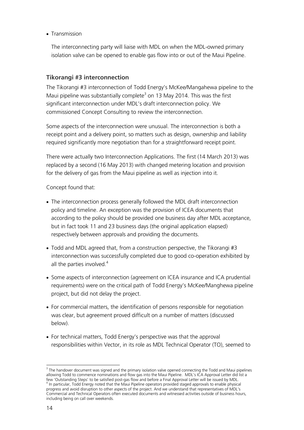• Transmission

The interconnecting party will liaise with MDL on when the MDL-owned primary isolation valve can be opened to enable gas flow into or out of the Maui Pipeline.

#### **Tikorangi #3 interconnection**

The Tikorangi #3 interconnection of Todd Energy's McKee/Mangahewa pipeline to the Maui pipeline was substantially complete<sup>3</sup> on 13 May 2014. This was the first significant interconnection under MDL's draft interconnection policy. We commissioned Concept Consulting to review the interconnection.

Some aspects of the interconnection were unusual. The interconnection is both a receipt point and a delivery point, so matters such as design, ownership and liability required significantly more negotiation than for a straightforward receipt point.

There were actually two Interconnection Applications. The first (14 March 2013) was replaced by a second (16 May 2013) with changed metering location and provision for the delivery of gas from the Maui pipeline as well as injection into it.

Concept found that:

- The interconnection process generally followed the MDL draft interconnection policy and timeline. An exception was the provision of ICEA documents that according to the policy should be provided one business day after MDL acceptance, but in fact took 11 and 23 business days (the original application elapsed) respectively between approvals and providing the documents.
- Todd and MDL agreed that, from a construction perspective, the Tikorangi #3 interconnection was successfully completed due to good co-operation exhibited by all the parties involved.<sup>4</sup>
- Some aspects of interconnection (agreement on ICEA insurance and ICA prudential requirements) were on the critical path of Todd Energy's McKee/Manghewa pipeline project, but did not delay the project.
- For commercial matters, the identification of persons responsible for negotiation was clear, but agreement proved difficult on a number of matters (discussed below).
- For technical matters, Todd Energy's perspective was that the approval responsibilities within Vector, in its role as MDL Technical Operator (TO), seemed to

<sup>&</sup>lt;u>.</u> <sup>3</sup> The handover document was signed and the primary isolation valve opened connecting the Todd and Maui pipelines allowing Todd to commence nominations and flow gas into the Maui Pipeline. MDL's ICA Approval Letter did list a few 'Outstanding Steps' to be satisfied post-gas flow and before a Final Approval Letter will be issued by MDL. 4 In particular, Todd Energy noted that the Maui Pipeline operators provided staged approvals to enable physical progress and avoid disruption to other aspects of the project. And we understand that representatives of MDL's Commercial and Technical Operators often executed documents and witnessed activities outside of business hours, including being on call over weekends.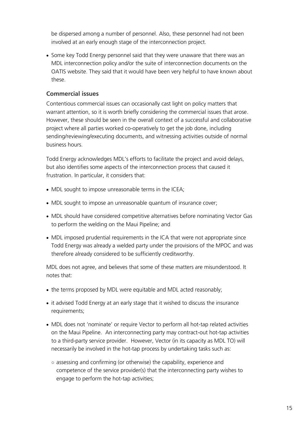be dispersed among a number of personnel. Also, these personnel had not been involved at an early enough stage of the interconnection project.

• Some key Todd Energy personnel said that they were unaware that there was an MDL interconnection policy and/or the suite of interconnection documents on the OATIS website. They said that it would have been very helpful to have known about these.

#### **Commercial issues**

Contentious commercial issues can occasionally cast light on policy matters that warrant attention, so it is worth briefly considering the commercial issues that arose. However, these should be seen in the overall context of a successful and collaborative project where all parties worked co-operatively to get the job done, including sending/reviewing/executing documents, and witnessing activities outside of normal business hours.

Todd Energy acknowledges MDL's efforts to facilitate the project and avoid delays, but also identifies some aspects of the interconnection process that caused it frustration. In particular, it considers that:

- MDL sought to impose unreasonable terms in the ICEA;
- MDL sought to impose an unreasonable quantum of insurance cover;
- MDL should have considered competitive alternatives before nominating Vector Gas to perform the welding on the Maui Pipeline; and
- MDL imposed prudential requirements in the ICA that were not appropriate since Todd Energy was already a welded party under the provisions of the MPOC and was therefore already considered to be sufficiently creditworthy.

MDL does not agree, and believes that some of these matters are misunderstood. It notes that:

- the terms proposed by MDL were equitable and MDL acted reasonably;
- it advised Todd Energy at an early stage that it wished to discuss the insurance requirements;
- MDL does not 'nominate' or require Vector to perform all hot-tap related activities on the Maui Pipeline. An interconnecting party may contract-out hot-tap activities to a third-party service provider. However, Vector (in its capacity as MDL TO) will necessarily be involved in the hot-tap process by undertaking tasks such as:
	- assessing and confirming (or otherwise) the capability, experience and competence of the service provider(s) that the interconnecting party wishes to engage to perform the hot-tap activities;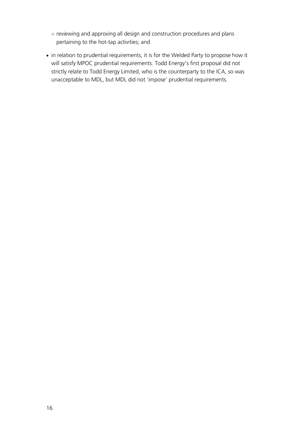- reviewing and approving all design and construction procedures and plans pertaining to the hot-tap activities; and
- in relation to prudential requirements, it is for the Welded Party to propose how it will satisfy MPOC prudential requirements. Todd Energy's first proposal did not strictly relate to Todd Energy Limited, who is the counterparty to the ICA, so was unacceptable to MDL, but MDL did not 'impose' prudential requirements.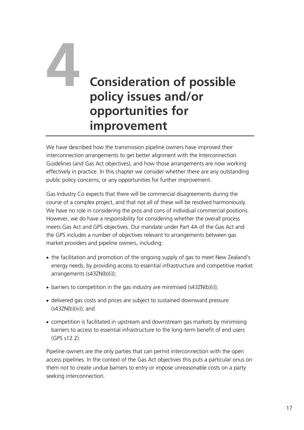# **4 Consideration of possible policy issues and/or opportunities for improvement**

We have described how the transmission pipeline owners have improved their interconnection arrangements to get better alignment with the Interconnection Guidelines (and Gas Act objectives), and how those arrangements are now working effectively in practice. In this chapter we consider whether there are any outstanding public policy concerns, or any opportunities for further improvement.

Gas Industry Co expects that there will be commercial disagreements during the course of a complex project, and that not all of these will be resolved harmoniously. We have no role in considering the pros and cons of individual commercial positions. However, we do have a responsibility for considering whether the overall process meets Gas Act and GPS objectives. Our mandate under Part 4A of the Gas Act and the GPS includes a number of objectives relevant to arrangements between gas market providers and pipeline owners, including:

- the facilitation and promotion of the ongoing supply of gas to meet New Zealand's energy needs, by providing access to essential infrastructure and competitive market arrangements (s43ZN(b)(i));
- barriers to competition in the gas industry are minimised (s43ZN(b)(i));
- delivered gas costs and prices are subject to sustained downward pressure (s43ZN(b)(iv)); and
- competition is facilitated in upstream and downstream gas markets by minimising barriers to access to essential infrastructure to the long-term benefit of end users (GPS s12.2).

Pipeline owners are the only parties that can permit interconnection with the open access pipelines. In the context of the Gas Act objectives this puts a particular onus on them not to create undue barriers to entry or impose unreasonable costs on a party seeking interconnection.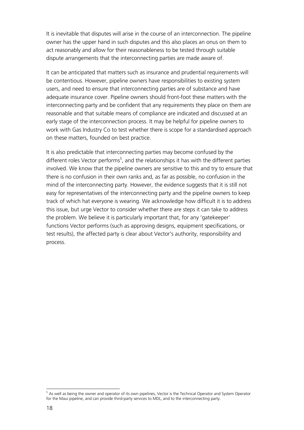It is inevitable that disputes will arise in the course of an interconnection. The pipeline owner has the upper hand in such disputes and this also places an onus on them to act reasonably and allow for their reasonableness to be tested through suitable dispute arrangements that the interconnecting parties are made aware of.

It can be anticipated that matters such as insurance and prudential requirements will be contentious. However, pipeline owners have responsibilities to existing system users, and need to ensure that interconnecting parties are of substance and have adequate insurance cover. Pipeline owners should front-foot these matters with the interconnecting party and be confident that any requirements they place on them are reasonable and that suitable means of compliance are indicated and discussed at an early stage of the interconnection process. It may be helpful for pipeline owners to work with Gas Industry Co to test whether there is scope for a standardised approach on these matters, founded on best practice.

It is also predictable that interconnecting parties may become confused by the different roles Vector performs<sup>5</sup>, and the relationships it has with the different parties involved. We know that the pipeline owners are sensitive to this and try to ensure that there is no confusion in their own ranks and, as far as possible, no confusion in the mind of the interconnecting party. However, the evidence suggests that it is still not easy for representatives of the interconnecting party and the pipeline owners to keep track of which hat everyone is wearing. We acknowledge how difficult it is to address this issue, but urge Vector to consider whether there are steps it can take to address the problem. We believe it is particularly important that, for any 'gatekeeper' functions Vector performs (such as approving designs, equipment specifications, or test results), the affected party is clear about Vector's authority, responsibility and process.

<sup>&</sup>lt;u>.</u> <sup>5</sup> As well as being the owner and operator of its own pipelines, Vector is the Technical Operator and System Operator for the Maui pipeline, and can provide third-party services to MDL, and to the interconnecting party.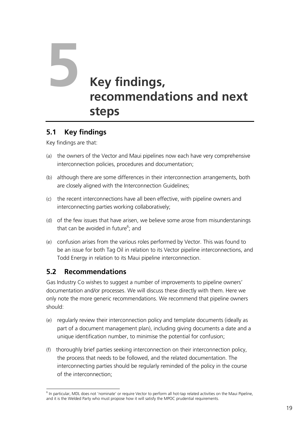

#### **5.1 Key findings**

Key findings are that:

- (a) the owners of the Vector and Maui pipelines now each have very comprehensive interconnection policies, procedures and documentation;
- (b) although there are some differences in their interconnection arrangements, both are closely aligned with the Interconnection Guidelines;
- (c) the recent interconnections have all been effective, with pipeline owners and interconnecting parties working collaboratively;
- (d) of the few issues that have arisen, we believe some arose from misunderstanings that can be avoided in future<sup>6</sup>; and
- (e) confusion arises from the various roles performed by Vector. This was found to be an issue for both Tag Oil in relation to its Vector pipeline interconnections, and Todd Energy in relation to its Maui pipeline interconnection.

#### **5.2 Recommendations**

Gas Industry Co wishes to suggest a number of improvements to pipeline owners' documentation and/or processes. We will discuss these directly with them. Here we only note the more generic recommendations. We recommend that pipeline owners should:

- (e) regularly review their interconnection policy and template documents (ideally as part of a document management plan), including giving documents a date and a unique identification number, to minimise the potential for confusion;
- (f) thoroughly brief parties seeking interconnection on their interconnection policy, the process that needs to be followed, and the related documentation. The interconnecting parties should be regularly reminded of the policy in the course of the interconnection;

<sup>&</sup>lt;u>.</u> <sup>6</sup> In particular, MDL does not 'nominate' or require Vector to perform all hot-tap related activities on the Maui Pipeline, and it is the Welded Party who must propose how it will satisfy the MPOC prudential requirements.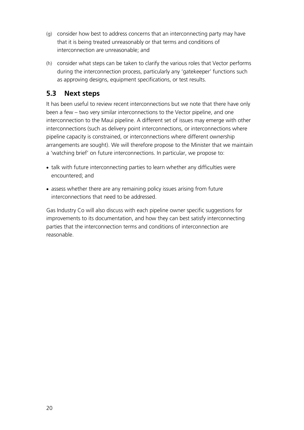- (g) consider how best to address concerns that an interconnecting party may have that it is being treated unreasonably or that terms and conditions of interconnection are unreasonable; and
- (h) consider what steps can be taken to clarify the various roles that Vector performs during the interconnection process, particularly any 'gatekeeper' functions such as approving designs, equipment specifications, or test results.

#### **5.3 Next steps**

It has been useful to review recent interconnections but we note that there have only been a few – two very similar interconnections to the Vector pipeline, and one interconnection to the Maui pipeline. A different set of issues may emerge with other interconnections (such as delivery point interconnections, or interconnections where pipeline capacity is constrained, or interconnections where different ownership arrangements are sought). We will therefore propose to the Minister that we maintain a 'watching brief' on future interconnections. In particular, we propose to:

- talk with future interconnecting parties to learn whether any difficulties were encountered; and
- assess whether there are any remaining policy issues arising from future interconnections that need to be addressed.

Gas Industry Co will also discuss with each pipeline owner specific suggestions for improvements to its documentation, and how they can best satisfy interconnecting parties that the interconnection terms and conditions of interconnection are reasonable.